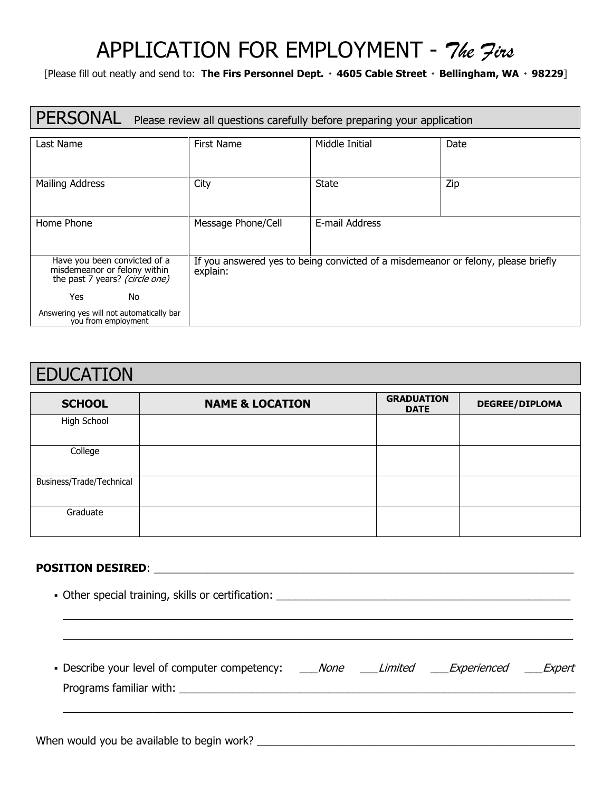# APPLICATION FOR EMPLOYMENT - The Jins

[Please fill out neatly and send to: The Firs Personnel Dept. • 4605 Cable Street • Bellingham, WA • 98229]

### PERSONAL Please review all questions carefully before preparing your application

| Last Name                                                                                      | <b>First Name</b>                                                                             | Middle Initial<br>Date |     |  |  |
|------------------------------------------------------------------------------------------------|-----------------------------------------------------------------------------------------------|------------------------|-----|--|--|
| Mailing Address                                                                                | City                                                                                          | <b>State</b>           | Zip |  |  |
|                                                                                                |                                                                                               |                        |     |  |  |
|                                                                                                |                                                                                               |                        |     |  |  |
| Home Phone                                                                                     | Message Phone/Cell                                                                            | E-mail Address         |     |  |  |
|                                                                                                |                                                                                               |                        |     |  |  |
| Have you been convicted of a<br>misdemeanor or felony within<br>the past 7 years? (circle one) | If you answered yes to being convicted of a misdemeanor or felony, please briefly<br>explain: |                        |     |  |  |
| No<br>Yes                                                                                      |                                                                                               |                        |     |  |  |
| Answering yes will not automatically bar<br>you from employment                                |                                                                                               |                        |     |  |  |

### EDUCATION

| <b>SCHOOL</b>            | <b>NAME &amp; LOCATION</b> | <b>GRADUATION</b><br><b>DATE</b> | <b>DEGREE/DIPLOMA</b> |
|--------------------------|----------------------------|----------------------------------|-----------------------|
| High School              |                            |                                  |                       |
| College                  |                            |                                  |                       |
| Business/Trade/Technical |                            |                                  |                       |
| Graduate                 |                            |                                  |                       |

#### POSITION DESIRED: \_\_\_\_\_\_\_\_\_\_\_\_\_\_\_\_\_\_\_\_\_\_\_\_\_\_\_\_\_\_\_\_\_\_\_\_\_\_\_\_\_\_\_\_\_\_\_\_\_\_\_\_\_\_\_\_\_\_\_\_\_\_\_\_\_\_\_\_\_\_

| • Describe your level of computer competency: ____None ____Limited ____Experienced ____Expert |  |  |  |
|-----------------------------------------------------------------------------------------------|--|--|--|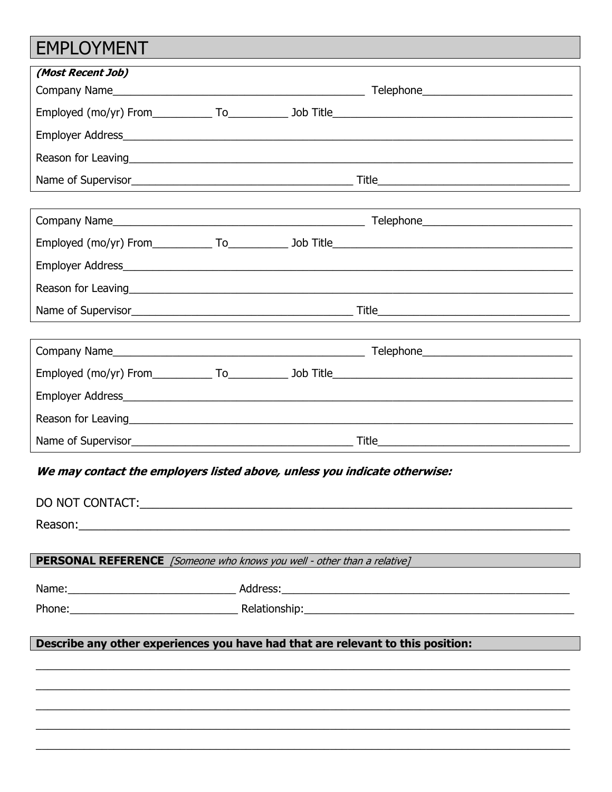# EMPLOYMENT

| (Most Recent Job)                                                                                                                                                                                                              |  |                                                                                |
|--------------------------------------------------------------------------------------------------------------------------------------------------------------------------------------------------------------------------------|--|--------------------------------------------------------------------------------|
|                                                                                                                                                                                                                                |  |                                                                                |
|                                                                                                                                                                                                                                |  |                                                                                |
|                                                                                                                                                                                                                                |  |                                                                                |
| Reason for Leaving and the contract of the contract of the contract of the contract of the contract of the contract of the contract of the contract of the contract of the contract of the contract of the contract of the con |  |                                                                                |
|                                                                                                                                                                                                                                |  |                                                                                |
|                                                                                                                                                                                                                                |  |                                                                                |
|                                                                                                                                                                                                                                |  |                                                                                |
|                                                                                                                                                                                                                                |  |                                                                                |
|                                                                                                                                                                                                                                |  |                                                                                |
|                                                                                                                                                                                                                                |  |                                                                                |
|                                                                                                                                                                                                                                |  |                                                                                |
|                                                                                                                                                                                                                                |  |                                                                                |
|                                                                                                                                                                                                                                |  |                                                                                |
|                                                                                                                                                                                                                                |  |                                                                                |
|                                                                                                                                                                                                                                |  |                                                                                |
|                                                                                                                                                                                                                                |  |                                                                                |
|                                                                                                                                                                                                                                |  |                                                                                |
| We may contact the employers listed above, unless you indicate otherwise:                                                                                                                                                      |  |                                                                                |
|                                                                                                                                                                                                                                |  |                                                                                |
| DO NOT CONTACT:                                                                                                                                                                                                                |  |                                                                                |
|                                                                                                                                                                                                                                |  |                                                                                |
|                                                                                                                                                                                                                                |  |                                                                                |
|                                                                                                                                                                                                                                |  | <b>PERSONAL REFERENCE</b> [Someone who knows you well - other than a relative] |
|                                                                                                                                                                                                                                |  |                                                                                |
|                                                                                                                                                                                                                                |  |                                                                                |
| Describe any other experiences you have had that are relevant to this position:                                                                                                                                                |  |                                                                                |
|                                                                                                                                                                                                                                |  |                                                                                |
|                                                                                                                                                                                                                                |  |                                                                                |
|                                                                                                                                                                                                                                |  |                                                                                |
|                                                                                                                                                                                                                                |  |                                                                                |
|                                                                                                                                                                                                                                |  |                                                                                |
|                                                                                                                                                                                                                                |  |                                                                                |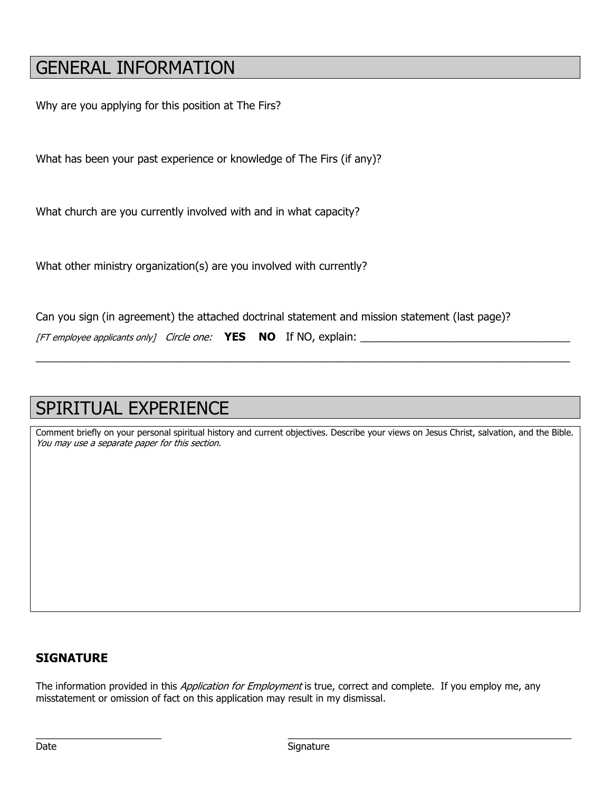# GENERAL INFORMATION

Why are you applying for this position at The Firs?

What has been your past experience or knowledge of The Firs (if any)?

What church are you currently involved with and in what capacity?

What other ministry organization(s) are you involved with currently?

Can you sign (in agreement) the attached doctrinal statement and mission statement (last page)?

[FT employee applicants only] Circle one:  $YES NO$  If NO, explain:

# SPIRITUAL EXPERIENCE

Comment briefly on your personal spiritual history and current objectives. Describe your views on Jesus Christ, salvation, and the Bible. You may use a separate paper for this section.

\_\_\_\_\_\_\_\_\_\_\_\_\_\_\_\_\_\_\_\_\_\_\_\_\_\_\_\_\_\_\_\_\_\_\_\_\_\_\_\_\_\_\_\_\_\_\_\_\_\_\_\_\_\_\_\_\_\_\_\_\_\_\_\_\_\_\_\_\_\_\_\_\_\_\_\_\_\_\_\_\_\_\_\_\_\_\_\_\_

### **SIGNATURE**

The information provided in this *Application for Employment* is true, correct and complete. If you employ me, any misstatement or omission of fact on this application may result in my dismissal.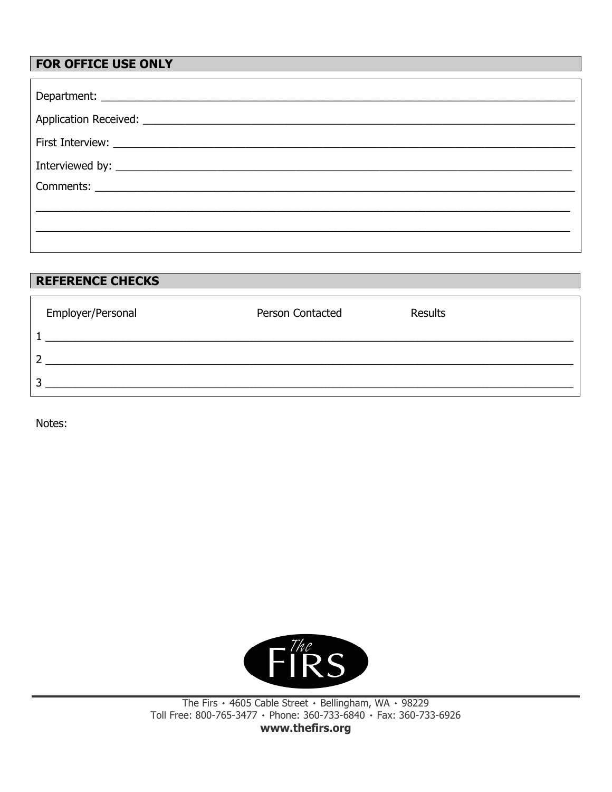### FOR OFFICE USE ONLY

| <b>REFERENCE CHECKS</b> |                  |                |  |
|-------------------------|------------------|----------------|--|
|                         | Person Contacted | <b>Results</b> |  |
| Employer/Personal       |                  |                |  |
|                         |                  |                |  |
| ┑                       |                  |                |  |
| n                       |                  |                |  |
|                         |                  |                |  |

Notes:



The Firs • 4605 Cable Street • Bellingham, WA • 98229<br>Toll Free: 800-765-3477 • Phone: 360-733-6840 • Fax: 360-733-6926 www.thefirs.org